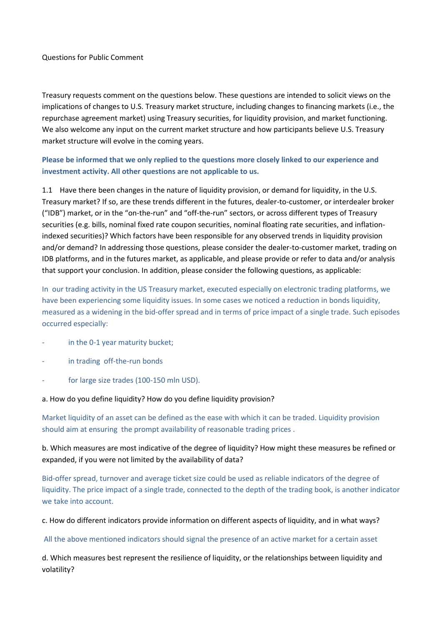### Questions for Public Comment

Treasury requests comment on the questions below. These questions are intended to solicit views on the implications of changes to U.S. Treasury market structure, including changes to financing markets (i.e., the repurchase agreement market) using Treasury securities, for liquidity provision, and market functioning. We also welcome any input on the current market structure and how participants believe U.S. Treasury market structure will evolve in the coming years.

# **Please be informed that we only replied to the questions more closely linked to our experience and investment activity. All other questions are not applicable to us.**

1.1 Have there been changes in the nature of liquidity provision, or demand for liquidity, in the U.S. Treasury market? If so, are these trends different in the futures, dealer-to-customer, or interdealer broker ("IDB") market, or in the "on-the-run" and "off-the-run" sectors, or across different types of Treasury securities (e.g. bills, nominal fixed rate coupon securities, nominal floating rate securities, and inflationindexed securities)? Which factors have been responsible for any observed trends in liquidity provision and/or demand? In addressing those questions, please consider the dealer-to-customer market, trading on IDB platforms, and in the futures market, as applicable, and please provide or refer to data and/or analysis that support your conclusion. In addition, please consider the following questions, as applicable:

In our trading activity in the US Treasury market, executed especially on electronic trading platforms, we have been experiencing some liquidity issues. In some cases we noticed a reduction in bonds liquidity, measured as a widening in the bid-offer spread and in terms of price impact of a single trade. Such episodes occurred especially:

- in the 0-1 year maturity bucket;
- in trading off-the-run bonds
- for large size trades (100-150 mln USD).

#### a. How do you define liquidity? How do you define liquidity provision?

Market liquidity of an asset can be defined as the ease with which it can be traded. Liquidity provision should aim at ensuring the prompt availability of reasonable trading prices .

# b. Which measures are most indicative of the degree of liquidity? How might these measures be refined or expanded, if you were not limited by the availability of data?

Bid-offer spread, turnover and average ticket size could be used as reliable indicators of the degree of liquidity. The price impact of a single trade, connected to the depth of the trading book, is another indicator we take into account.

c. How do different indicators provide information on different aspects of liquidity, and in what ways?

All the above mentioned indicators should signal the presence of an active market for a certain asset

d. Which measures best represent the resilience of liquidity, or the relationships between liquidity and volatility?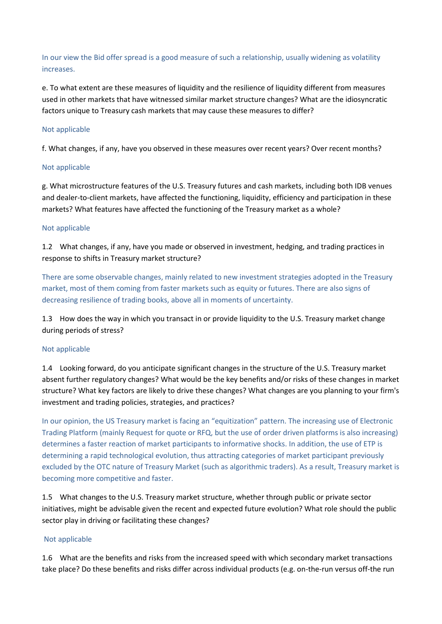In our view the Bid offer spread is a good measure of such a relationship, usually widening as volatility increases.

e. To what extent are these measures of liquidity and the resilience of liquidity different from measures used in other markets that have witnessed similar market structure changes? What are the idiosyncratic factors unique to Treasury cash markets that may cause these measures to differ?

## Not applicable

f. What changes, if any, have you observed in these measures over recent years? Over recent months?

## Not applicable

g. What microstructure features of the U.S. Treasury futures and cash markets, including both IDB venues and dealer-to-client markets, have affected the functioning, liquidity, efficiency and participation in these markets? What features have affected the functioning of the Treasury market as a whole?

## Not applicable

1.2 What changes, if any, have you made or observed in investment, hedging, and trading practices in response to shifts in Treasury market structure?

There are some observable changes, mainly related to new investment strategies adopted in the Treasury market, most of them coming from faster markets such as equity or futures. There are also signs of decreasing resilience of trading books, above all in moments of uncertainty.

1.3 How does the way in which you transact in or provide liquidity to the U.S. Treasury market change during periods of stress?

## Not applicable

1.4 Looking forward, do you anticipate significant changes in the structure of the U.S. Treasury market absent further regulatory changes? What would be the key benefits and/or risks of these changes in market structure? What key factors are likely to drive these changes? What changes are you planning to your firm's investment and trading policies, strategies, and practices?

In our opinion, the US Treasury market is facing an "equitization" pattern. The increasing use of Electronic Trading Platform (mainly Request for quote or RFQ, but the use of order driven platforms is also increasing) determines a faster reaction of market participants to informative shocks. In addition, the use of ETP is determining a rapid technological evolution, thus attracting categories of market participant previously excluded by the OTC nature of Treasury Market (such as algorithmic traders). As a result, Treasury market is becoming more competitive and faster.

1.5 What changes to the U.S. Treasury market structure, whether through public or private sector initiatives, might be advisable given the recent and expected future evolution? What role should the public sector play in driving or facilitating these changes?

## Not applicable

1.6 What are the benefits and risks from the increased speed with which secondary market transactions take place? Do these benefits and risks differ across individual products (e.g. on-the-run versus off-the run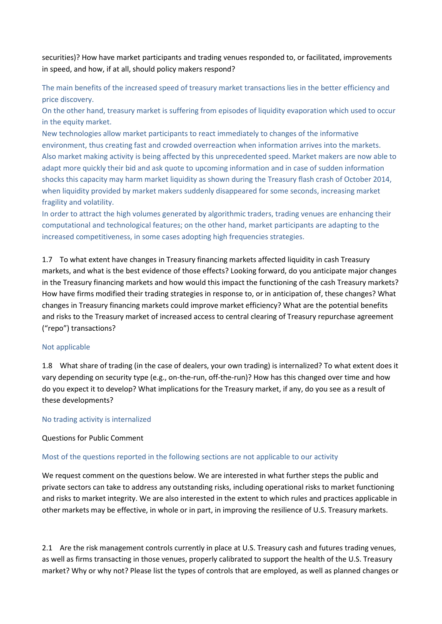securities)? How have market participants and trading venues responded to, or facilitated, improvements in speed, and how, if at all, should policy makers respond?

The main benefits of the increased speed of treasury market transactions lies in the better efficiency and price discovery.

On the other hand, treasury market is suffering from episodes of liquidity evaporation which used to occur in the equity market.

New technologies allow market participants to react immediately to changes of the informative environment, thus creating fast and crowded overreaction when information arrives into the markets. Also market making activity is being affected by this unprecedented speed. Market makers are now able to adapt more quickly their bid and ask quote to upcoming information and in case of sudden information shocks this capacity may harm market liquidity as shown during the Treasury flash crash of October 2014, when liquidity provided by market makers suddenly disappeared for some seconds, increasing market fragility and volatility.

In order to attract the high volumes generated by algorithmic traders, trading venues are enhancing their computational and technological features; on the other hand, market participants are adapting to the increased competitiveness, in some cases adopting high frequencies strategies.

1.7 To what extent have changes in Treasury financing markets affected liquidity in cash Treasury markets, and what is the best evidence of those effects? Looking forward, do you anticipate major changes in the Treasury financing markets and how would this impact the functioning of the cash Treasury markets? How have firms modified their trading strategies in response to, or in anticipation of, these changes? What changes in Treasury financing markets could improve market efficiency? What are the potential benefits and risks to the Treasury market of increased access to central clearing of Treasury repurchase agreement ("repo") transactions?

## Not applicable

1.8 What share of trading (in the case of dealers, your own trading) is internalized? To what extent does it vary depending on security type (e.g., on-the-run, off-the-run)? How has this changed over time and how do you expect it to develop? What implications for the Treasury market, if any, do you see as a result of these developments?

## No trading activity is internalized

# Questions for Public Comment

# Most of the questions reported in the following sections are not applicable to our activity

We request comment on the questions below. We are interested in what further steps the public and private sectors can take to address any outstanding risks, including operational risks to market functioning and risks to market integrity. We are also interested in the extent to which rules and practices applicable in other markets may be effective, in whole or in part, in improving the resilience of U.S. Treasury markets.

2.1 Are the risk management controls currently in place at U.S. Treasury cash and futures trading venues, as well as firms transacting in those venues, properly calibrated to support the health of the U.S. Treasury market? Why or why not? Please list the types of controls that are employed, as well as planned changes or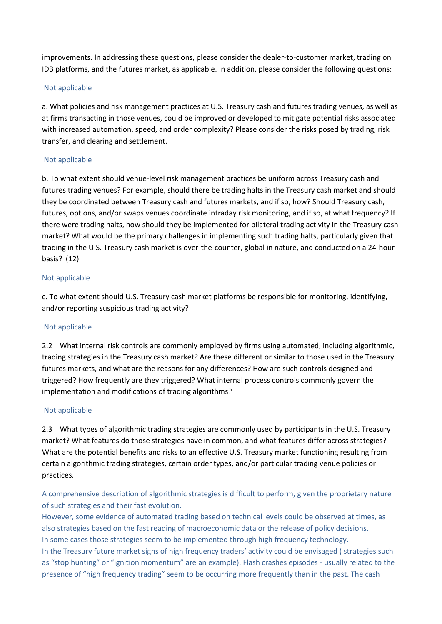improvements. In addressing these questions, please consider the dealer-to-customer market, trading on IDB platforms, and the futures market, as applicable. In addition, please consider the following questions:

## Not applicable

a. What policies and risk management practices at U.S. Treasury cash and futures trading venues, as well as at firms transacting in those venues, could be improved or developed to mitigate potential risks associated with increased automation, speed, and order complexity? Please consider the risks posed by trading, risk transfer, and clearing and settlement.

## Not applicable

b. To what extent should venue-level risk management practices be uniform across Treasury cash and futures trading venues? For example, should there be trading halts in the Treasury cash market and should they be coordinated between Treasury cash and futures markets, and if so, how? Should Treasury cash, futures, options, and/or swaps venues coordinate intraday risk monitoring, and if so, at what frequency? If there were trading halts, how should they be implemented for bilateral trading activity in the Treasury cash market? What would be the primary challenges in implementing such trading halts, particularly given that trading in the U.S. Treasury cash market is over-the-counter, global in nature, and conducted on a 24-hour basis?  (12)

## Not applicable

c. To what extent should U.S. Treasury cash market platforms be responsible for monitoring, identifying, and/or reporting suspicious trading activity?

# Not applicable

2.2 What internal risk controls are commonly employed by firms using automated, including algorithmic, trading strategies in the Treasury cash market? Are these different or similar to those used in the Treasury futures markets, and what are the reasons for any differences? How are such controls designed and triggered? How frequently are they triggered? What internal process controls commonly govern the implementation and modifications of trading algorithms?

## Not applicable

2.3 What types of algorithmic trading strategies are commonly used by participants in the U.S. Treasury market? What features do those strategies have in common, and what features differ across strategies? What are the potential benefits and risks to an effective U.S. Treasury market functioning resulting from certain algorithmic trading strategies, certain order types, and/or particular trading venue policies or practices.

A comprehensive description of algorithmic strategies is difficult to perform, given the proprietary nature of such strategies and their fast evolution.

However, some evidence of automated trading based on technical levels could be observed at times, as also strategies based on the fast reading of macroeconomic data or the release of policy decisions. In some cases those strategies seem to be implemented through high frequency technology. In the Treasury future market signs of high frequency traders' activity could be envisaged ( strategies such as "stop hunting" or "ignition momentum" are an example). Flash crashes episodes - usually related to the presence of "high frequency trading" seem to be occurring more frequently than in the past. The cash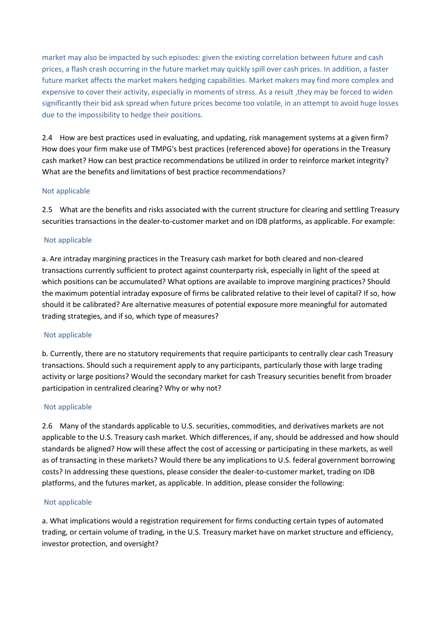market may also be impacted by such episodes: given the existing correlation between future and cash prices, a flash crash occurring in the future market may quickly spill over cash prices. In addition, a faster future market affects the market makers hedging capabilities. Market makers may find more complex and expensive to cover their activity, especially in moments of stress. As a result ,they may be forced to widen significantly their bid ask spread when future prices become too volatile, in an attempt to avoid huge losses due to the impossibility to hedge their positions.

2.4 How are best practices used in evaluating, and updating, risk management systems at a given firm? How does your firm make use of TMPG's best practices (referenced above) for operations in the Treasury cash market? How can best practice recommendations be utilized in order to reinforce market integrity? What are the benefits and limitations of best practice recommendations?

# Not applicable

2.5 What are the benefits and risks associated with the current structure for clearing and settling Treasury securities transactions in the dealer-to-customer market and on IDB platforms, as applicable. For example:

## Not applicable

a. Are intraday margining practices in the Treasury cash market for both cleared and non-cleared transactions currently sufficient to protect against counterparty risk, especially in light of the speed at which positions can be accumulated? What options are available to improve margining practices? Should the maximum potential intraday exposure of firms be calibrated relative to their level of capital? If so, how should it be calibrated? Are alternative measures of potential exposure more meaningful for automated trading strategies, and if so, which type of measures?

## Not applicable

b. Currently, there are no statutory requirements that require participants to centrally clear cash Treasury transactions. Should such a requirement apply to any participants, particularly those with large trading activity or large positions? Would the secondary market for cash Treasury securities benefit from broader participation in centralized clearing? Why or why not?

## Not applicable

2.6 Many of the standards applicable to U.S. securities, commodities, and derivatives markets are not applicable to the U.S. Treasury cash market. Which differences, if any, should be addressed and how should standards be aligned? How will these affect the cost of accessing or participating in these markets, as well as of transacting in these markets? Would there be any implications to U.S. federal government borrowing costs? In addressing these questions, please consider the dealer-to-customer market, trading on IDB platforms, and the futures market, as applicable. In addition, please consider the following:

## Not applicable

a. What implications would a registration requirement for firms conducting certain types of automated trading, or certain volume of trading, in the U.S. Treasury market have on market structure and efficiency, investor protection, and oversight?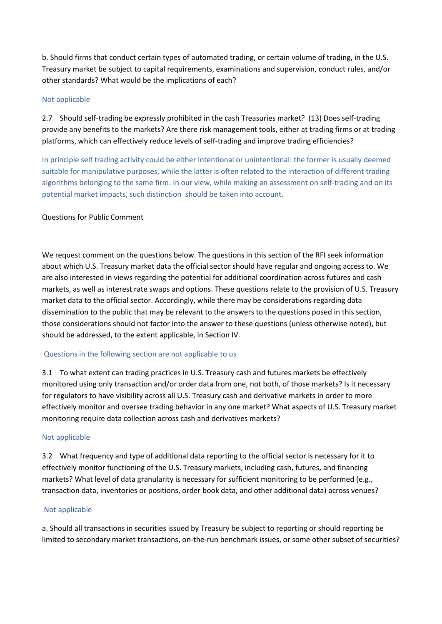b. Should firms that conduct certain types of automated trading, or certain volume of trading, in the U.S. Treasury market be subject to capital requirements, examinations and supervision, conduct rules, and/or other standards? What would be the implications of each?

# Not applicable

2.7 Should self-trading be expressly prohibited in the cash Treasuries market?  (13) Does self-trading provide any benefits to the markets? Are there risk management tools, either at trading firms or at trading platforms, which can effectively reduce levels of self-trading and improve trading efficiencies?

In principle self trading activity could be either intentional or unintentional: the former is usually deemed suitable for manipulative purposes, while the latter is often related to the interaction of different trading algorithms belonging to the same firm. In our view, while making an assessment on self-trading and on its potential market impacts, such distinction should be taken into account.

# Questions for Public Comment

We request comment on the questions below. The questions in this section of the RFI seek information about which U.S. Treasury market data the official sector should have regular and ongoing access to. We are also interested in views regarding the potential for additional coordination across futures and cash markets, as well as interest rate swaps and options. These questions relate to the provision of U.S. Treasury market data to the official sector. Accordingly, while there may be considerations regarding data dissemination to the public that may be relevant to the answers to the questions posed in this section, those considerations should not factor into the answer to these questions (unless otherwise noted), but should be addressed, to the extent applicable, in Section IV.

# Questions in the following section are not applicable to us

3.1 To what extent can trading practices in U.S. Treasury cash and futures markets be effectively monitored using only transaction and/or order data from one, not both, of those markets? Is it necessary for regulators to have visibility across all U.S. Treasury cash and derivative markets in order to more effectively monitor and oversee trading behavior in any one market? What aspects of U.S. Treasury market monitoring require data collection across cash and derivatives markets?

# Not applicable

3.2 What frequency and type of additional data reporting to the official sector is necessary for it to effectively monitor functioning of the U.S. Treasury markets, including cash, futures, and financing markets? What level of data granularity is necessary for sufficient monitoring to be performed (e.g., transaction data, inventories or positions, order book data, and other additional data) across venues?

# Not applicable

a. Should all transactions in securities issued by Treasury be subject to reporting or should reporting be limited to secondary market transactions, on-the-run benchmark issues, or some other subset of securities?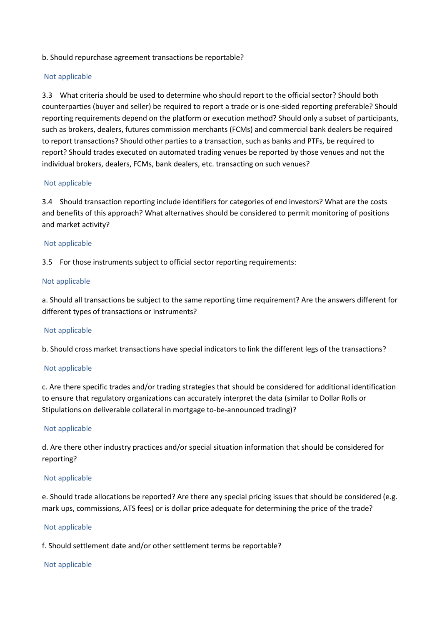## b. Should repurchase agreement transactions be reportable?

### Not applicable

3.3 What criteria should be used to determine who should report to the official sector? Should both counterparties (buyer and seller) be required to report a trade or is one-sided reporting preferable? Should reporting requirements depend on the platform or execution method? Should only a subset of participants, such as brokers, dealers, futures commission merchants (FCMs) and commercial bank dealers be required to report transactions? Should other parties to a transaction, such as banks and PTFs, be required to report? Should trades executed on automated trading venues be reported by those venues and not the individual brokers, dealers, FCMs, bank dealers, etc. transacting on such venues?

### Not applicable

3.4 Should transaction reporting include identifiers for categories of end investors? What are the costs and benefits of this approach? What alternatives should be considered to permit monitoring of positions and market activity?

### Not applicable

3.5 For those instruments subject to official sector reporting requirements:

### Not applicable

a. Should all transactions be subject to the same reporting time requirement? Are the answers different for different types of transactions or instruments?

#### Not applicable

b. Should cross market transactions have special indicators to link the different legs of the transactions?

#### Not applicable

c. Are there specific trades and/or trading strategies that should be considered for additional identification to ensure that regulatory organizations can accurately interpret the data (similar to Dollar Rolls or Stipulations on deliverable collateral in mortgage to-be-announced trading)?

#### Not applicable

d. Are there other industry practices and/or special situation information that should be considered for reporting?

#### Not applicable

e. Should trade allocations be reported? Are there any special pricing issues that should be considered (e.g. mark ups, commissions, ATS fees) or is dollar price adequate for determining the price of the trade?

#### Not applicable

f. Should settlement date and/or other settlement terms be reportable?

#### Not applicable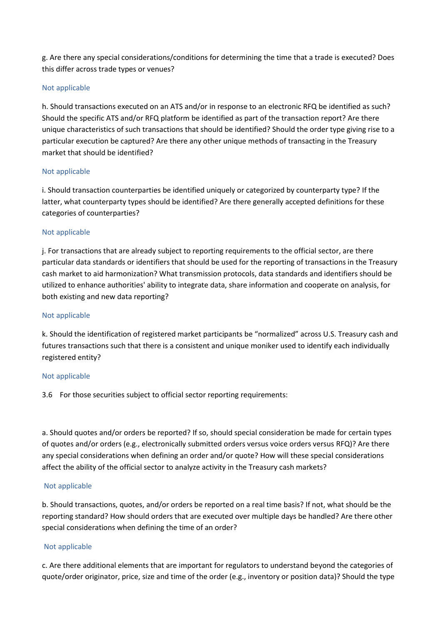g. Are there any special considerations/conditions for determining the time that a trade is executed? Does this differ across trade types or venues?

## Not applicable

h. Should transactions executed on an ATS and/or in response to an electronic RFQ be identified as such? Should the specific ATS and/or RFQ platform be identified as part of the transaction report? Are there unique characteristics of such transactions that should be identified? Should the order type giving rise to a particular execution be captured? Are there any other unique methods of transacting in the Treasury market that should be identified?

## Not applicable

i. Should transaction counterparties be identified uniquely or categorized by counterparty type? If the latter, what counterparty types should be identified? Are there generally accepted definitions for these categories of counterparties?

## Not applicable

j. For transactions that are already subject to reporting requirements to the official sector, are there particular data standards or identifiers that should be used for the reporting of transactions in the Treasury cash market to aid harmonization? What transmission protocols, data standards and identifiers should be utilized to enhance authorities' ability to integrate data, share information and cooperate on analysis, for both existing and new data reporting?

## Not applicable

k. Should the identification of registered market participants be "normalized" across U.S. Treasury cash and futures transactions such that there is a consistent and unique moniker used to identify each individually registered entity?

## Not applicable

3.6 For those securities subject to official sector reporting requirements:

a. Should quotes and/or orders be reported? If so, should special consideration be made for certain types of quotes and/or orders (e.g., electronically submitted orders versus voice orders versus RFQ)? Are there any special considerations when defining an order and/or quote? How will these special considerations affect the ability of the official sector to analyze activity in the Treasury cash markets?

## Not applicable

b. Should transactions, quotes, and/or orders be reported on a real time basis? If not, what should be the reporting standard? How should orders that are executed over multiple days be handled? Are there other special considerations when defining the time of an order?

# Not applicable

c. Are there additional elements that are important for regulators to understand beyond the categories of quote/order originator, price, size and time of the order (e.g., inventory or position data)? Should the type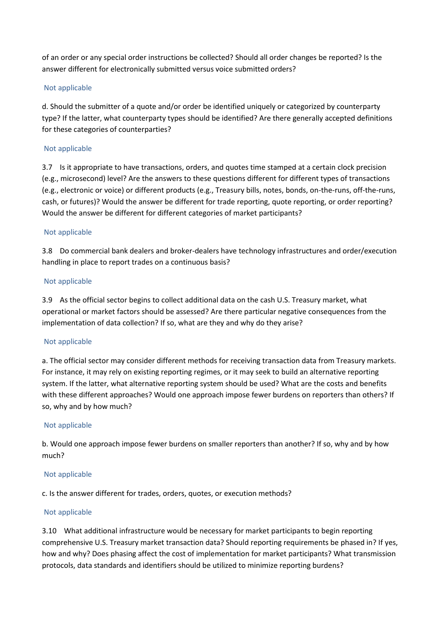of an order or any special order instructions be collected? Should all order changes be reported? Is the answer different for electronically submitted versus voice submitted orders?

# Not applicable

d. Should the submitter of a quote and/or order be identified uniquely or categorized by counterparty type? If the latter, what counterparty types should be identified? Are there generally accepted definitions for these categories of counterparties?

## Not applicable

3.7 Is it appropriate to have transactions, orders, and quotes time stamped at a certain clock precision (e.g., microsecond) level? Are the answers to these questions different for different types of transactions (e.g., electronic or voice) or different products (e.g., Treasury bills, notes, bonds, on-the-runs, off-the-runs, cash, or futures)? Would the answer be different for trade reporting, quote reporting, or order reporting? Would the answer be different for different categories of market participants?

## Not applicable

3.8 Do commercial bank dealers and broker-dealers have technology infrastructures and order/execution handling in place to report trades on a continuous basis?

## Not applicable

3.9 As the official sector begins to collect additional data on the cash U.S. Treasury market, what operational or market factors should be assessed? Are there particular negative consequences from the implementation of data collection? If so, what are they and why do they arise?

## Not applicable

a. The official sector may consider different methods for receiving transaction data from Treasury markets. For instance, it may rely on existing reporting regimes, or it may seek to build an alternative reporting system. If the latter, what alternative reporting system should be used? What are the costs and benefits with these different approaches? Would one approach impose fewer burdens on reporters than others? If so, why and by how much?

## Not applicable

b. Would one approach impose fewer burdens on smaller reporters than another? If so, why and by how much?

## Not applicable

c. Is the answer different for trades, orders, quotes, or execution methods?

## Not applicable

3.10 What additional infrastructure would be necessary for market participants to begin reporting comprehensive U.S. Treasury market transaction data? Should reporting requirements be phased in? If yes, how and why? Does phasing affect the cost of implementation for market participants? What transmission protocols, data standards and identifiers should be utilized to minimize reporting burdens?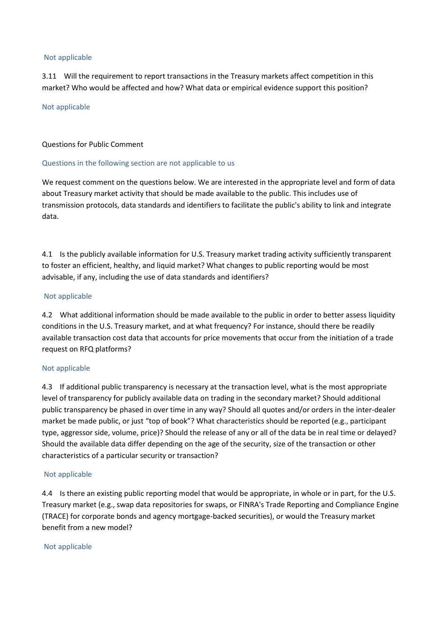### Not applicable

3.11 Will the requirement to report transactions in the Treasury markets affect competition in this market? Who would be affected and how? What data or empirical evidence support this position?

### Not applicable

## Questions for Public Comment

## Questions in the following section are not applicable to us

We request comment on the questions below. We are interested in the appropriate level and form of data about Treasury market activity that should be made available to the public. This includes use of transmission protocols, data standards and identifiers to facilitate the public's ability to link and integrate data.

4.1 Is the publicly available information for U.S. Treasury market trading activity sufficiently transparent to foster an efficient, healthy, and liquid market? What changes to public reporting would be most advisable, if any, including the use of data standards and identifiers?

### Not applicable

4.2 What additional information should be made available to the public in order to better assess liquidity conditions in the U.S. Treasury market, and at what frequency? For instance, should there be readily available transaction cost data that accounts for price movements that occur from the initiation of a trade request on RFQ platforms?

## Not applicable

4.3 If additional public transparency is necessary at the transaction level, what is the most appropriate level of transparency for publicly available data on trading in the secondary market? Should additional public transparency be phased in over time in any way? Should all quotes and/or orders in the inter-dealer market be made public, or just "top of book"? What characteristics should be reported (e.g., participant type, aggressor side, volume, price)? Should the release of any or all of the data be in real time or delayed? Should the available data differ depending on the age of the security, size of the transaction or other characteristics of a particular security or transaction?

## Not applicable

4.4 Is there an existing public reporting model that would be appropriate, in whole or in part, for the U.S. Treasury market (e.g., swap data repositories for swaps, or FINRA's Trade Reporting and Compliance Engine (TRACE) for corporate bonds and agency mortgage-backed securities), or would the Treasury market benefit from a new model?

### Not applicable